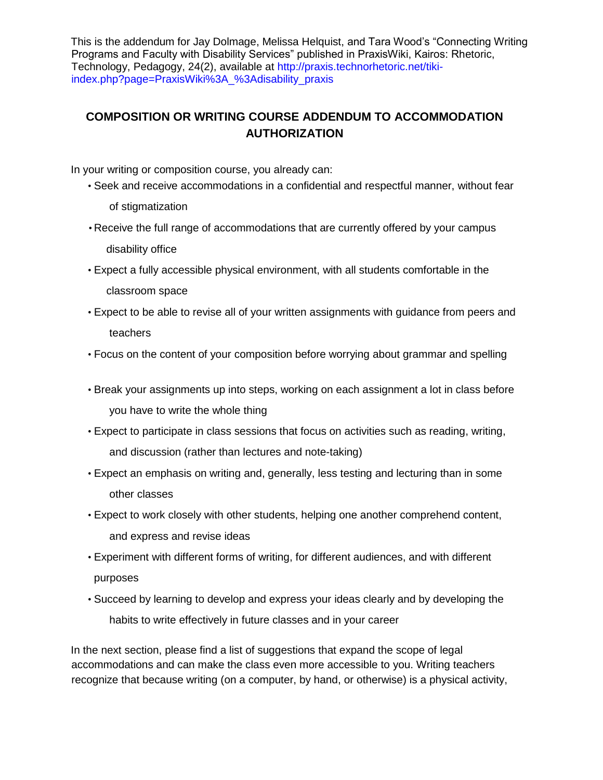This is the addendum for Jay Dolmage, Melissa Helquist, and Tara Wood's "Connecting Writing Programs and Faculty with Disability Services" published in PraxisWiki, Kairos: Rhetoric, Technology, Pedagogy, 24(2), available at [http://praxis.technorhetoric.net/tiki](http://praxis.technorhetoric.net/tiki-index.php?page=PraxisWiki%3A_%3Adisability_praxis)[index.php?page=PraxisWiki%3A\\_%3Adisability\\_praxis](http://praxis.technorhetoric.net/tiki-index.php?page=PraxisWiki%3A_%3Adisability_praxis)

## **COMPOSITION OR WRITING COURSE ADDENDUM TO ACCOMMODATION AUTHORIZATION**

In your writing or composition course, you already can:

- Seek and receive accommodations in a confidential and respectful manner, without fear of stigmatization
- Receive the full range of accommodations that are currently offered by your campus disability office
- Expect a fully accessible physical environment, with all students comfortable in the classroom space
- Expect to be able to revise all of your written assignments with guidance from peers and teachers
- Focus on the content of your composition before worrying about grammar and spelling
- Break your assignments up into steps, working on each assignment a lot in class before you have to write the whole thing
- Expect to participate in class sessions that focus on activities such as reading, writing, and discussion (rather than lectures and note-taking)
- Expect an emphasis on writing and, generally, less testing and lecturing than in some other classes
- Expect to work closely with other students, helping one another comprehend content, and express and revise ideas
- Experiment with different forms of writing, for different audiences, and with different purposes
- Succeed by learning to develop and express your ideas clearly and by developing the habits to write effectively in future classes and in your career

In the next section, please find a list of suggestions that expand the scope of legal accommodations and can make the class even more accessible to you. Writing teachers recognize that because writing (on a computer, by hand, or otherwise) is a physical activity,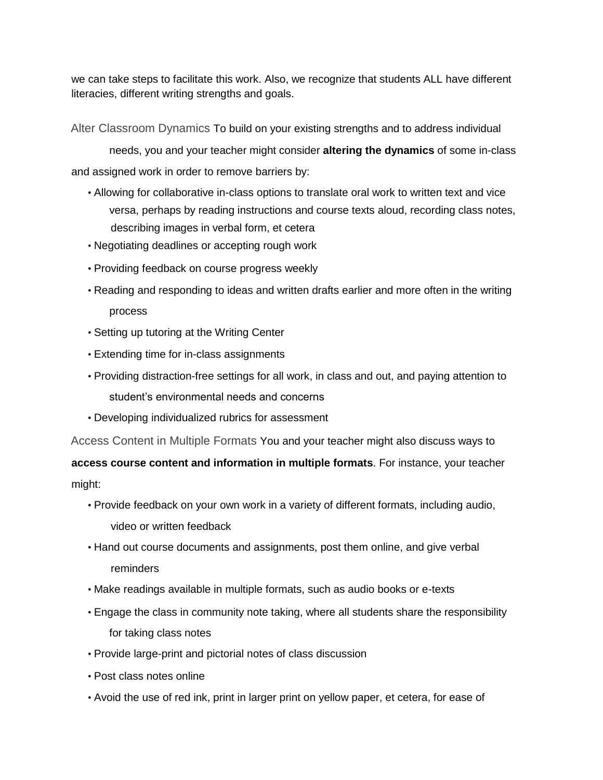we can take steps to facilitate this work. Also, we recognize that students ALL have different literacies, different writing strengths and goals.

Alter Classroom Dynamics To build on your existing strengths and to address individual

needs, you and your teacher might consider **altering the dynamics** of some in-class and assigned work in order to remove barriers by:

- Allowing for collaborative in-class options to translate oral work to written text and vice versa, perhaps by reading instructions and course texts aloud, recording class notes, describing images in verbal form, et cetera
- Negotiating deadlines or accepting rough work
- Providing feedback on course progress weekly
- Reading and responding to ideas and written drafts earlier and more often in the writing process
- Setting up tutoring at the Writing Center
- Extending time for in-class assignments
- Providing distraction-free settings for all work, in class and out, and paying attention to student's environmental needs and concerns
- Developing individualized rubrics for assessment

Access Content in Multiple Formats You and your teacher might also discuss ways to

**access course content and information in multiple formats**. For instance, your teacher might:

- Provide feedback on your own work in a variety of different formats, including audio, video or written feedback
- Hand out course documents and assignments, post them online, and give verbal reminders
- Make readings available in multiple formats, such as audio books or e-texts
- Engage the class in community note taking, where all students share the responsibility for taking class notes
- Provide large-print and pictorial notes of class discussion
- Post class notes online
- Avoid the use of red ink, print in larger print on yellow paper, et cetera, for ease of